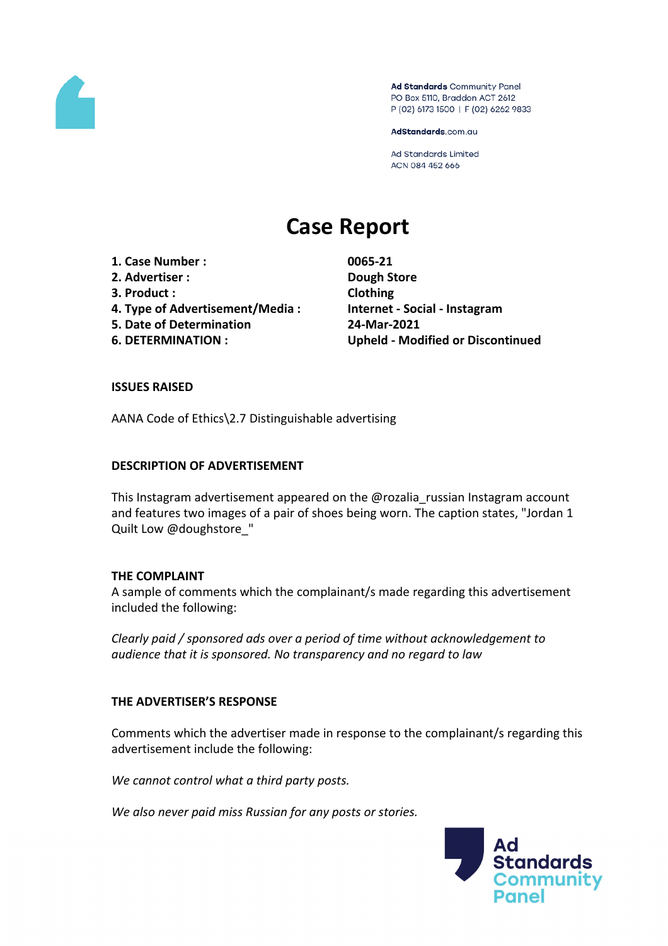

Ad Standards Community Panel PO Box 5110, Braddon ACT 2612 P (02) 6173 1500 | F (02) 6262 9833

AdStandards.com.au

Ad Standards Limited ACN 084 452 666

# **Case Report**

- **1. Case Number : 0065-21**
- **2. Advertiser : Dough Store**
- **3. Product : Clothing**
- **4. Type of Advertisement/Media : Internet - Social - Instagram**
- **5. Date of Determination 24-Mar-2021**
- 

**6. DETERMINATION : Upheld - Modified or Discontinued**

### **ISSUES RAISED**

AANA Code of Ethics\2.7 Distinguishable advertising

### **DESCRIPTION OF ADVERTISEMENT**

This Instagram advertisement appeared on the @rozalia\_russian Instagram account and features two images of a pair of shoes being worn. The caption states, "Jordan 1 Quilt Low @doughstore "

#### **THE COMPLAINT**

A sample of comments which the complainant/s made regarding this advertisement included the following:

*Clearly paid / sponsored ads over a period of time without acknowledgement to audience that it is sponsored. No transparency and no regard to law*

## **THE ADVERTISER'S RESPONSE**

Comments which the advertiser made in response to the complainant/s regarding this advertisement include the following:

*We cannot control what a third party posts.*

*We also never paid miss Russian for any posts or stories.*

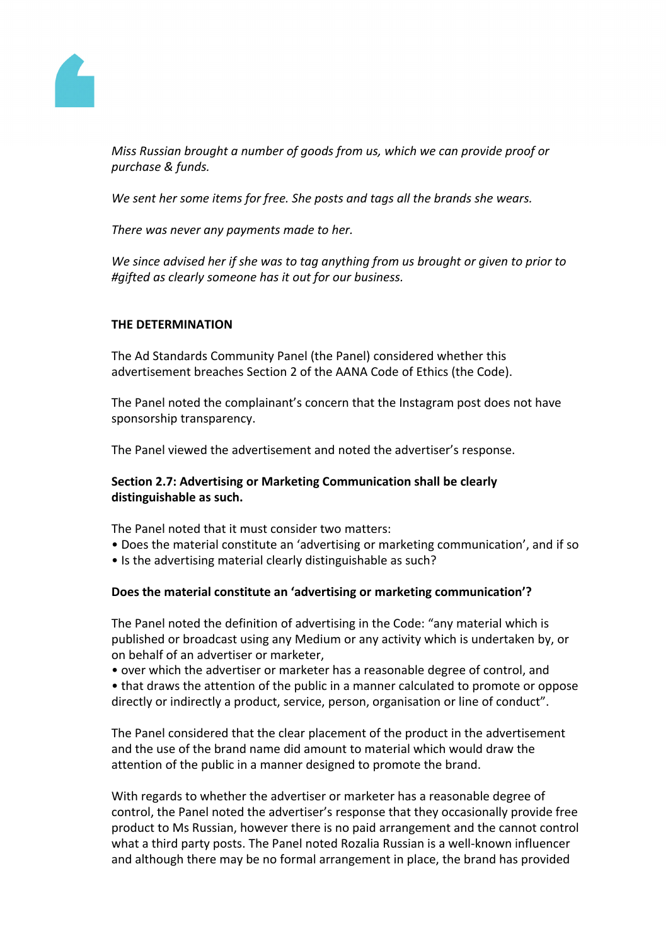

*Miss Russian brought a number of goods from us, which we can provide proof or purchase & funds.*

*We sent her some items for free. She posts and tags all the brands she wears.*

*There was never any payments made to her.*

*We since advised her if she was to tag anything from us brought or given to prior to #gifted as clearly someone has it out for our business.*

### **THE DETERMINATION**

The Ad Standards Community Panel (the Panel) considered whether this advertisement breaches Section 2 of the AANA Code of Ethics (the Code).

The Panel noted the complainant's concern that the Instagram post does not have sponsorship transparency.

The Panel viewed the advertisement and noted the advertiser's response.

## **Section 2.7: Advertising or Marketing Communication shall be clearly distinguishable as such.**

The Panel noted that it must consider two matters:

- Does the material constitute an 'advertising or marketing communication', and if so
- Is the advertising material clearly distinguishable as such?

#### **Does the material constitute an 'advertising or marketing communication'?**

The Panel noted the definition of advertising in the Code: "any material which is published or broadcast using any Medium or any activity which is undertaken by, or on behalf of an advertiser or marketer,

• over which the advertiser or marketer has a reasonable degree of control, and

• that draws the attention of the public in a manner calculated to promote or oppose directly or indirectly a product, service, person, organisation or line of conduct".

The Panel considered that the clear placement of the product in the advertisement and the use of the brand name did amount to material which would draw the attention of the public in a manner designed to promote the brand.

With regards to whether the advertiser or marketer has a reasonable degree of control, the Panel noted the advertiser's response that they occasionally provide free product to Ms Russian, however there is no paid arrangement and the cannot control what a third party posts. The Panel noted Rozalia Russian is a well-known influencer and although there may be no formal arrangement in place, the brand has provided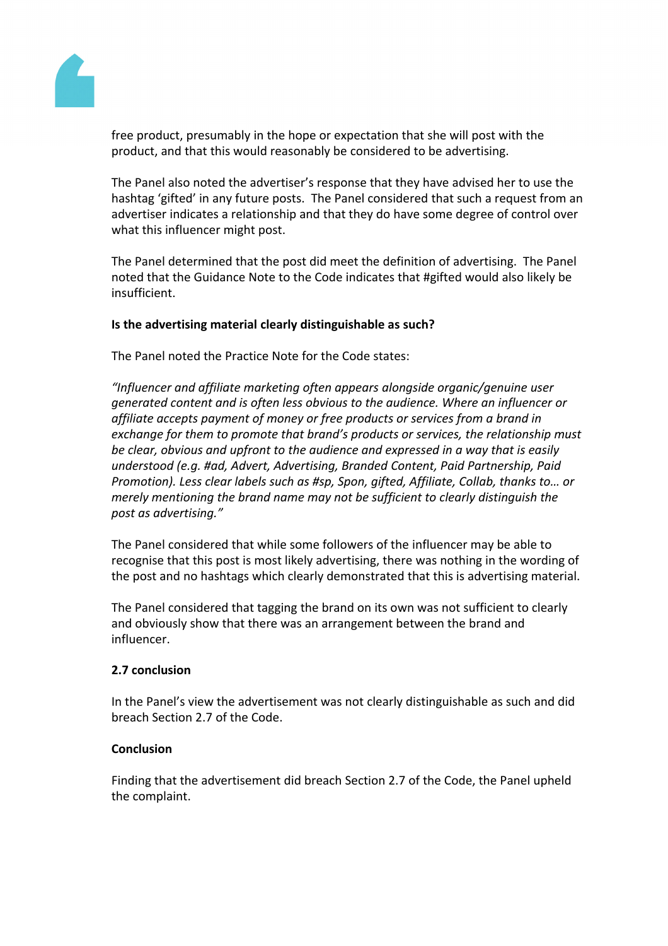

free product, presumably in the hope or expectation that she will post with the product, and that this would reasonably be considered to be advertising.

The Panel also noted the advertiser's response that they have advised her to use the hashtag 'gifted' in any future posts. The Panel considered that such a request from an advertiser indicates a relationship and that they do have some degree of control over what this influencer might post.

The Panel determined that the post did meet the definition of advertising. The Panel noted that the Guidance Note to the Code indicates that #gifted would also likely be insufficient.

## **Is the advertising material clearly distinguishable as such?**

The Panel noted the Practice Note for the Code states:

*"Influencer and affiliate marketing often appears alongside organic/genuine user generated content and is often less obvious to the audience. Where an influencer or affiliate accepts payment of money or free products or services from a brand in exchange for them to promote that brand's products or services, the relationship must be clear, obvious and upfront to the audience and expressed in a way that is easily understood (e.g. #ad, Advert, Advertising, Branded Content, Paid Partnership, Paid Promotion). Less clear labels such as #sp, Spon, gifted, Affiliate, Collab, thanks to… or merely mentioning the brand name may not be sufficient to clearly distinguish the post as advertising."*

The Panel considered that while some followers of the influencer may be able to recognise that this post is most likely advertising, there was nothing in the wording of the post and no hashtags which clearly demonstrated that this is advertising material.

The Panel considered that tagging the brand on its own was not sufficient to clearly and obviously show that there was an arrangement between the brand and influencer.

## **2.7 conclusion**

In the Panel's view the advertisement was not clearly distinguishable as such and did breach Section 2.7 of the Code.

## **Conclusion**

Finding that the advertisement did breach Section 2.7 of the Code, the Panel upheld the complaint.